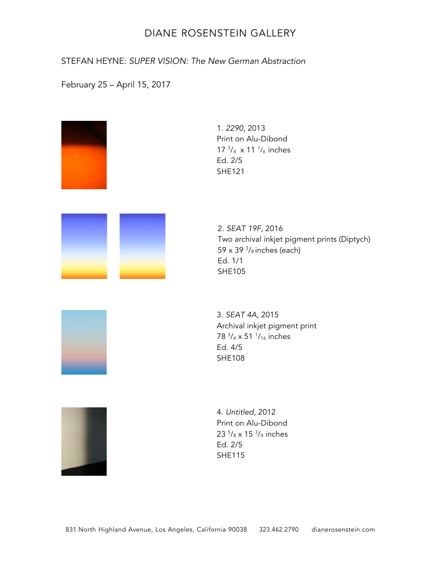STEFAN HEYNE: *SUPER VISION: The New German Abstraction*

February 25 – April 15, 2017

| 1. 2290, 2013<br>Print on Alu-Dibond<br>$17 \frac{3}{4} \times 11 \frac{7}{8}$ inches<br>Ed. 2/5<br><b>SHE121</b>                    |
|--------------------------------------------------------------------------------------------------------------------------------------|
| 2. SEAT 19F, 2016<br>Two archival inkjet pigment prints (Diptych)<br>59 x 39 $\frac{3}{8}$ inches (each)<br>Ed. 1/1<br><b>SHE105</b> |
| 3. SEAT 4A, 2015<br>Archival inkjet pigment print<br>78 3/4 x 51 <sup>1</sup> / <sub>16</sub> inches<br>Ed. 4/5<br><b>SHE108</b>     |
| 4. Untitled, 2012<br>Print on Alu-Dibond<br>23 $\frac{5}{8}$ x 15 $\frac{3}{4}$ inches<br>Ed. 2/5<br><b>SHE115</b>                   |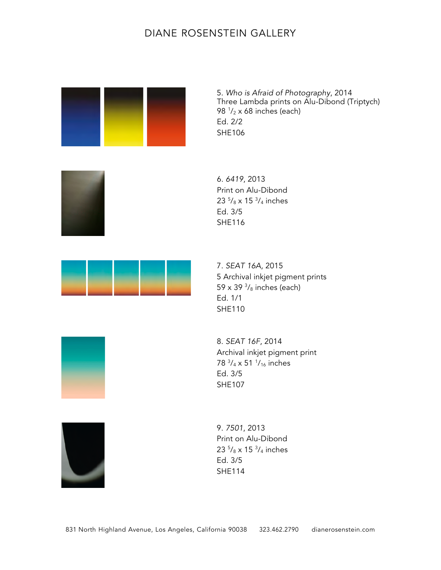

5. *Who is Afraid of Photography*, 2014 Three Lambda prints on Alu-Dibond (Triptych) 98 <sup>1</sup> /<sup>2</sup> x 68 inches (each) Ed. 2/2 SHE106



6. *6419*, 2013 Print on Alu-Dibond 23 <sup>5</sup>/<sub>8</sub> x 15 <sup>3</sup>/<sub>4</sub> inches Ed. 3/5 SHE116



7. *SEAT* 16A, 2015 5 Archival inkjet pigment prints 59 x 39  $\frac{3}{8}$  inches (each) Ed. 1/1 SHE110

8. *SEAT* 16F, 2014 Archival inkjet pigment print 78 3 /4 x 51 1 /16 inches Ed. 3/5 SHE107



9. *7501*, 2013 Print on Alu-Dibond 23 <sup>5</sup>/<sub>8</sub> x 15 <sup>3</sup>/<sub>4</sub> inches Ed. 3/5 SHE114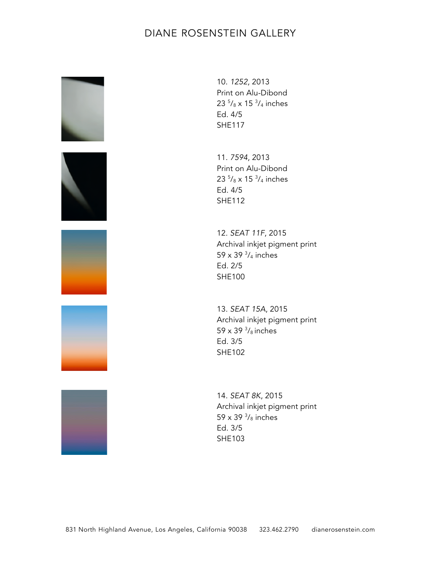